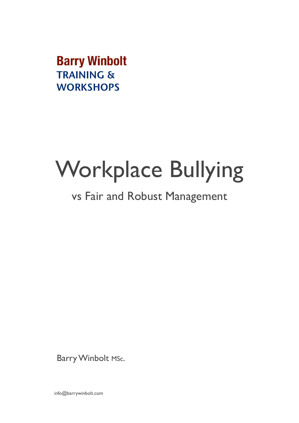**Barry Winbolt TRAINING & WORKSHOPS** 

# Workplace Bullying

### vs Fair and Robust Management

Barry Winbolt Msc.

info@barrywinbolt.com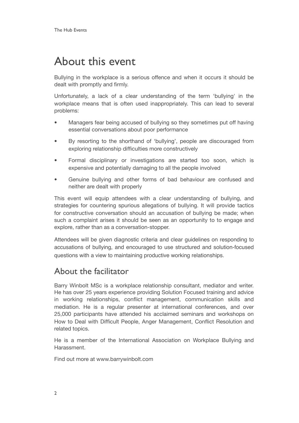### About this event

Bullying in the workplace is a serious offence and when it occurs it should be dealt with promptly and firmly.

Unfortunately, a lack of a clear understanding of the term 'bullying' in the workplace means that is often used inappropriately. This can lead to several problems:

- Managers fear being accused of bullying so they sometimes put off having essential conversations about poor performance
- By resorting to the shorthand of 'bullying', people are discouraged from exploring relationship difficulties more constructively
- Formal disciplinary or investigations are started too soon, which is expensive and potentially damaging to all the people involved
- Genuine bullying and other forms of bad behaviour are confused and neither are dealt with properly

This event will equip attendees with a clear understanding of bullying, and strategies for countering spurious allegations of bullying. It will provide tactics for constructive conversation should an accusation of bullying be made; when such a complaint arises it should be seen as an opportunity to to engage and explore, rather than as a conversation-stopper.

Attendees will be given diagnostic criteria and clear guidelines on responding to accusations of bullying, and encouraged to use structured and solution-focused questions with a view to maintaining productive working relationships.

#### About the facilitator

Barry Winbolt MSc is a workplace relationship consultant, mediator and writer. He has over 25 years experience providing Solution Focused training and advice in working relationships, conflict management, communication skills and mediation. He is a regular presenter at international conferences, and over 25,000 participants have attended his acclaimed seminars and workshops on How to Deal with Difficult People, Anger Management, Conflict Resolution and related topics.

He is a member of the International Association on Workplace Bullying and Harassment.

Find out more at [www.barrywinbolt.com](http://www.barrywinbolt.com)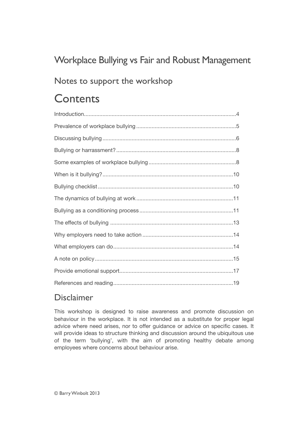#### Workplace Bullying vs Fair and Robust Management

#### Notes to support the workshop

### **Contents**

#### Disclaimer

This workshop is designed to raise awareness and promote discussion on behaviour in the workplace. It is not intended as a substitute for proper legal advice where need arises, nor to offer guidance or advice on specific cases. It will provide ideas to structure thinking and discussion around the ubiquitous use of the term 'bullying', with the aim of promoting healthy debate among employees where concerns about behaviour arise.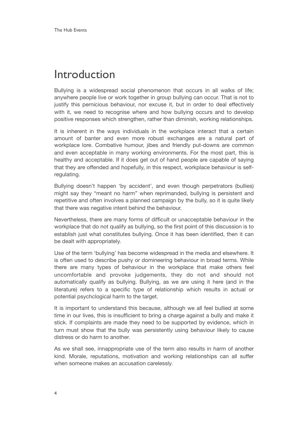### <span id="page-3-0"></span>Introduction

Bullying is a widespread social phenomenon that occurs in all walks of life; anywhere people live or work together in group bullying can occur. That is not to justify this pernicious behaviour, nor excuse it, but in order to deal effectively with it, we need to recognise where and how bullying occurs and to develop positive responses which strengthen, rather than diminish, working relationships.

It is inherent in the ways individuals in the workplace interact that a certain amount of banter and even more robust exchanges are a natural part of workplace lore. Combative humour, jibes and friendly put-downs are common and even acceptable in many working environments. For the most part, this is healthy and acceptable. If it does get out of hand people are capable of saying that they are offended and hopefully, in this respect, workplace behaviour is selfregulating.

Bullying doesn't happen 'by accident', and even though perpetrators (bullies) might say they "meant no harm" when reprimanded, bullying is persistent and repetitive and often involves a planned campaign by the bully, so it is quite likely that there was negative intent behind the behaviour.

Nevertheless, there are many forms of difficult or unacceptable behaviour in the workplace that do not qualify as bullying, so the first point of this discussion is to establish just what constitutes bullying. Once it has been identified, then it can be dealt with appropriately.

Use of the term 'bullying' has become widespread in the media and elsewhere. It is often used to describe pushy or domineering behaviour in broad terms. While there are many types of behaviour in the workplace that make others feel uncomfortable and provoke judgements, they do not and should not automatically qualify as bullying. Bullying, as we are using it here (and in the literature) refers to a specific type of relationship which results in actual or potential psychclogical harm to the target.

It is important to understand this because, although we all feel bullied at some time in our lives, this is insufficient to bring a charge against a bully and make it stick. If complaints are made they need to be supported by evidence, which in turn must show that the bully was persistently using behaviour likely to cause distress or do harm to another.

As we shall see, innappropriate use of the term also results in harm of another kind. Morale, reputations, motivation and working relationships can all suffer when someone makes an accusation carelessly.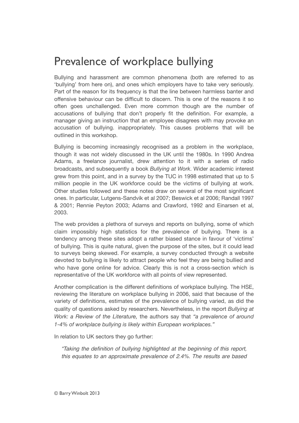### <span id="page-4-0"></span>Prevalence of workplace bullying

Bullying and harassment are common phenomena (both are referred to as 'bullying' from here on), and ones which employers have to take very seriously. Part of the reason for its frequency is that the line between harmless banter and offensive behaviour can be difficult to discern. This is one of the reasons it so often goes unchallenged. Even more common though are the number of accusations of bullying that don't properly fit the definition. For example, a manager giving an instruction that an employee disagrees with may provoke an accusation of bullying. inappropriately. This causes problems that will be outlined in this workshop.

Bullying is becoming increasingly recognised as a problem in the workplace, though it was not widely discussed in the UK until the 1980s. In 1990 Andrea Adams, a freelance journalist, drew attention to it with a series of radio broadcasts, and subsequently a book *Bullying at Work*. Wider academic interest grew from this point, and in a survey by the TUC in 1998 estimated that up to 5 million people in the UK workforce could be the victims of bullying at work. Other studies followed and these notes draw on several of the most significant ones. In particular, Lutgens-Sandvik et al 2007; Beswick et al 2006; Randall 1997 & 2001; Rennie Peyton 2003; Adams and Crawford, 1992 and Einarsen et al, 2003.

The web provides a plethora of surveys and reports on bullying, some of which claim impossibly high statistics for the prevalence of bullying. There is a tendency among these sites adopt a rather biased stance in favour of 'victims' of bullying. This is quite natural, given the purpose of the sites, but it could lead to surveys being skewed. For example, a survey conducted through a website devoted to bullying is likely to attract people who feel they are being bullied and who have gone online for advice. Clearly this is not a cross-section which is representative of the UK workforce with all points of view represented.

Another complication is the different definitions of workplace bullying. The HSE, reviewing the literature on workplace bullying in 2006, said that because of the variety of definitions, estimates of the prevalence of bullying varied, as did the quality of questions asked by researchers. Nevertheless, in the report *Bullying at Work: a Review of the Literature,* the authors say that *"a prevalence of around 1-4% of workplace bullying is likely within European workplaces."* 

In relation to UK sectors they go further:

*"Taking the definition of bullying highlighted at the beginning of this report, this equates to an approximate prevalence of 2.4%. The results are based*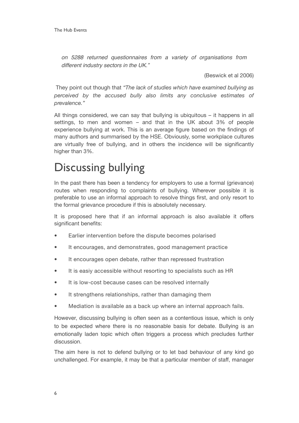*on 5288 returned questionnaires from a variety of organisations from different industry sectors in the UK."*

(Beswick et al 2006)

 They point out though that *"The lack of studies which have examined bullying as perceived by the accused bully also limits any conclusive estimates of prevalence."*

All things considered, we can say that bullying is ubiquitous – it happens in all settings, to men and women – and that in the UK about 3% of people experience bullying at work. This is an average figure based on the findings of many authors and summarised by the HSE. Obviously, some workplace cultures are virtually free of bullying, and in others the incidence will be significantly higher than 3%.

### <span id="page-5-0"></span>Discussing bullying

In the past there has been a tendency for employers to use a formal (grievance) routes when responding to complaints of bullying. Wherever possible it is preferable to use an informal approach to resolve things first, and only resort to the formal grievance procedure if this is absolutely necessary.

It is proposed here that if an informal approach is also available it offers significant benefits:

- Earlier intervention before the dispute becomes polarised
- It encourages, and demonstrates, good management practice
- It encourages open debate, rather than repressed frustration
- It is easiy accessible without resorting to specialists such as HR
- It is low-cost because cases can be resolved internally
- It strengthens relationships, rather than damaging them
- Mediation is available as a back up where an internal approach fails.

However, discussing bullying is often seen as a contentious issue, which is only to be expected where there is no reasonable basis for debate. Bullying is an emotionally laden topic which often triggers a process which precludes further discussion.

The aim here is not to defend bullying or to let bad behaviour of any kind go unchallenged. For example, it may be that a particular member of staff, manager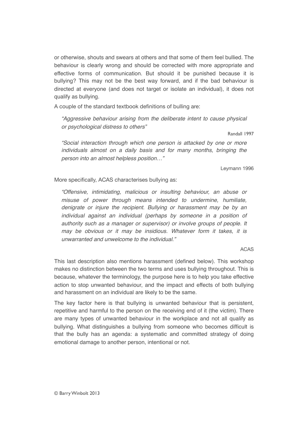or otherwise, shouts and swears at others and that some of them feel bullied. The behaviour is clearly wrong and should be corrected with more appropriate and effective forms of communication. But should it be punished because it is bullying? This may not be the best way forward, and if the bad behaviour is directed at everyone (and does not target or isolate an individual), it does not qualify as bullying.

A couple of the standard textbook definitions of bulling are:

*"Aggressive behaviour arising from the deliberate intent to cause physical or psychological distress to others"*

Randall 1997

*"Social interaction through which one person is attacked by one or more individuals almost on a daily basis and for many months, bringing the person into an almost helpless position…"*

Leymann 1996

More specifically, ACAS characterises bullying as:

*"Offensive, intimidating, malicious or insulting behaviour, an abuse or misuse of power through means intended to undermine, humiliate, denigrate or injure the recipient. Bullying or harassment may be by an individual against an individual (perhaps by someone in a position of authority such as a manager or supervisor) or involve groups of people. It may be obvious or it may be insidious. Whatever form it takes, it is unwarranted and unwelcome to the individual."*

#### ACAS

This last description also mentions harassment (defined below). This workshop makes no distinction between the two terms and uses bullying throughout. This is because, whatever the terminology, the purpose here is to help you take effective action to stop unwanted behaviour, and the impact and effects of both bullying and harassment on an individual are likely to be the same.

The key factor here is that bullying is unwanted behaviour that is persistent, repetitive and harmful to the person on the receiving end of it (the victim). There are many types of unwanted behaviour in the workplace and not all qualify as bullying. What distinguishes a bullying from someone who becomes difficult is that the bully has an agenda: a systematic and committed strategy of doing emotional damage to another person, intentional or not.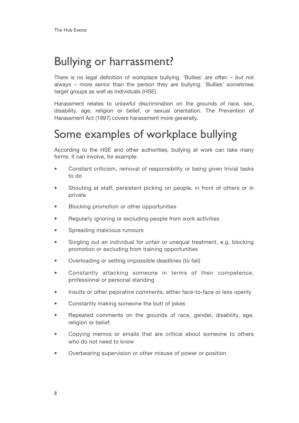### <span id="page-7-0"></span>Bullying or harrassment?

There is no legal definition of workplace bullying. 'Bullies' are often – but not always – more senior than the person they are bullying. 'Bullies' sometimes target groups as well as individuals (HSE).

Harassment relates to unlawful discrimination on the grounds of race, sex, disability, age, religion or belief, or sexual orientation. The Prevention of Harassment Act (1997) covers harassment more generally.

### <span id="page-7-1"></span>Some examples of workplace bullying

According to the HSE and other authorities, bullying at work can take many forms. It can involve, for example:

- Constant criticism, removal of responsibility or being given trivial tasks to do
- Shouting at staff, persistent picking on people, in front of others or in private
- Blocking promotion or other opportunities
- Regularly ignoring or excluding people from work activities
- Spreading malicious rumours
- Singling out an individual for unfair or unequal treatment, e.g. blocking promotion or excluding from training opportunities
- Overloading or setting impossible deadlines (to fail)
- Constantly attacking someone in terms of their competence, professional or personal standing
- Insults or other pejorative comments, either face-to-face or less openly
- Constantly making someone the butt of jokes
- Repeated comments on the grounds of race, gender, disability, age, religion or belief.
- Copying memos or emails that are critical about someone to others who do not need to know
- Overbearing supervision or other misuse of power or position.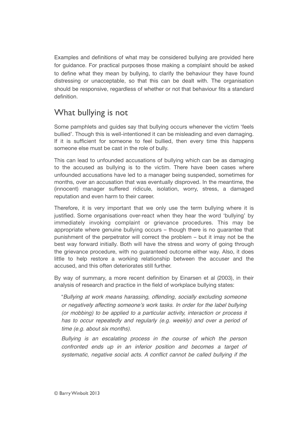Examples and definitions of what may be considered bullying are provided here for guidance. For practical purposes those making a complaint should be asked to define what they mean by bullying, to clarify the behaviour they have found distressing or unacceptable, so that this can be dealt with. The organisation should be responsive, regardless of whether or not that behaviour fits a standard definition.

#### What bullying is not

Some pamphlets and guides say that bullying occurs whenever the victim 'feels bullied'. Though this is well-intentioned it can be misleading and even damaging. If it is sufficient for someone to feel bullied, then every time this happens someone else must be cast in the role of bully.

This can lead to unfounded accusations of bullying which can be as damaging to the accused as bullying is to the victim. There have been cases where unfounded accusations have led to a manager being suspended, sometimes for months, over an accusation that was eventually disproved. In the meantime, the (innocent) manager suffered ridicule, isolation, worry, stress, a damaged reputation and even harm to their career.

Therefore, it is very important that we only use the term bullying where it is justified. Some organisations over-react when they hear the word 'bullying' by immediately invoking complaint or grievance procedures. This may be appropriate where genuine bullying occurs – though there is no guarantee that punishment of the perpetrator will correct the problem – but it imay not be the best way forward initially. Both will have the stress and worry of going through the grievance procedure, with no guaranteed outcome either way. Also, it does little to help restore a working relationship between the accuser and the accused, and this often deteriorates still further.

By way of summary, a more recent definition by Einarsen et al (2003), in their analysis of research and practice in the field of workplace bullying states:

"*Bullying at work means harassing, offending, socially excluding someone or negatively affecting someone*'*s work tasks. In order for the label bullying (or mobbing) to be applied to a particular activity, interaction or process it*  has to occur repeatedly and regularly (e.g. weekly) and over a period of *time (e.g. about six months).* 

*Bullying is an escalating process in the course of which the person confronted ends up in an inferior position and becomes a target of systematic, negative social acts. A conflict cannot be called bullying if the*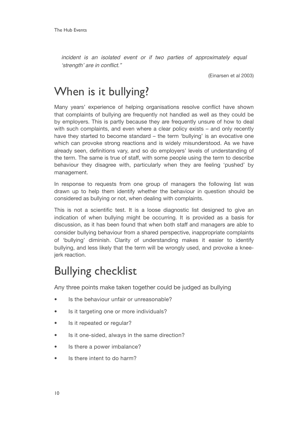*incident is an isolated event or if two parties of approximately equal*  ʻ*strength*' *are in conflict."*

(Einarsen et al 2003)

### <span id="page-9-0"></span>When is it bullying?

Many years' experience of helping organisations resolve conflict have shown that complaints of bullying are frequently not handled as well as they could be by employers. This is partly because they are frequently unsure of how to deal with such complaints, and even where a clear policy exists – and only recently have they started to become standard – the term 'bullying' is an evocative one which can provoke strong reactions and is widely misunderstood. As we have already seen, definitions vary, and so do employers' levels of understanding of the term. The same is true of staff, with some people using the term to describe behaviour they disagree with, particularly when they are feeling 'pushed' by management.

In response to requests from one group of managers the following list was drawn up to help them identify whether the behaviour in question should be considered as bullying or not, when dealing with complaints.

This is not a scientific test. It is a loose diagnostic list designed to give an indication of when bullying might be occurring. It is provided as a basis for discussion, as it has been found that when both staff and managers are able to consider bullying behaviour from a shared perspective, inappropriate complaints of 'bullying' diminish. Clarity of understanding makes it easier to identify bullying, and less likely that the term will be wrongly used, and provoke a kneejerk reaction.

### <span id="page-9-1"></span>Bullying checklist

Any three points make taken together could be judged as bullying

- Is the behaviour unfair or unreasonable?
- Is it targeting one or more individuals?
- Is it repeated or regular?
- Is it one-sided, always in the same direction?
- Is there a power imbalance?
- Is there intent to do harm?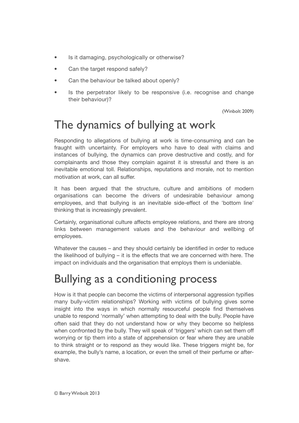- Is it damaging, psychologically or otherwise?
- Can the target respond safely?
- Can the behaviour be talked about openly?
- Is the perpetrator likely to be responsive (i.e. recognise and change their behaviour)?

(Winbolt 2009)

## <span id="page-10-0"></span>The dynamics of bullying at work

Responding to allegations of bullying at work is time-consuming and can be fraught with uncertainty. For employers who have to deal with claims and instances of bullying, the dynamics can prove destructive and costly, and for complainants and those they complain against it is stressful and there is an inevitable emotional toll. Relationships, reputations and morale, not to mention motivation at work, can all suffer.

It has been argued that the structure, culture and ambitions of modern organisations can become the drivers of undesirable behaviour among employees, and that bullying is an inevitable side-effect of the 'bottom line' thinking that is increasingly prevalent.

Certainly, organisational culture affects employee relations, and there are strong links between management values and the behaviour and wellbing of employees.

Whatever the causes – and they should certainly be identified in order to reduce the likelihood of bullying – it is the effects that we are concerned with here. The impact on individuals and the organisation that employs them is undeniable.

### <span id="page-10-1"></span>Bullying as a conditioning process

How is it that people can become the victims of interpersonal aggression typifies many bully-victim relationships? Working with victims of bullying gives some insight into the ways in which normally resourceful people find themselves unable to respond 'normally' when attempting to deal with the bully. People have often said that they do not understand how or why they become so helpless when confronted by the bully. They will speak of 'triggers' which can set them off worrying or tip them into a state of apprehension or fear where they are unable to think straight or to respond as they would like. These triggers might be, for example, the bully's name, a location, or even the smell of their perfume or aftershave.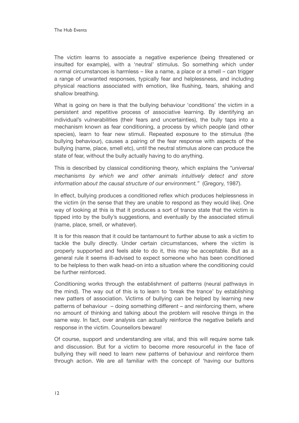The victim learns to associate a negative experience (being threatened or insulted for example), with a 'neutral' stimulus. So something which under normal circumstances is harmless – like a name, a place or a smell – can trigger a range of unwanted responses, typically fear and helplessness, and including physical reactions associated with emotion, like flushing, tears, shaking and shallow breathing.

What is going on here is that the bullying behaviour 'conditions' the victim in a persistent and repetitive process of associative learning. By identifying an individual's vulnerabilities (their fears and uncertainties), the bully taps into a mechanism known as fear conditioning, a process by which people (and other species), learn to fear new stimuli. Repeated exposure to the stimulus (the bullying behaviour), causes a pairing of the fear response with aspects of the bullying (name, place, smell etc), until the neutral stimulus alone can produce the state of fear, without the bully actually having to do anything.

This is described by classical conditioning theory, which explains the *"universal mechanisms by which we and other animals intuitively detect and store information about the causal structure of our environment."* (Gregory, 1987).

In effect, bullying produces a conditioned reflex which produces helplessness in the victim (in the sense that they are unable to respond as they would like). One way of looking at this is that it produces a sort of trance state that the victim is tipped into by the bully's suggestions, and eventually by the associated stimuli (name, place, smell, or whatever).

It is for this reason that it could be tantamount to further abuse to ask a victim to tackle the bully directly. Under certain circumstances, where the victim is properly supported and feels able to do it, this may be acceptable. But as a general rule it seems ill-advised to expect someone who has been conditioned to be helpless to then walk head-on into a situation where the conditioning could be further reinforced.

Conditioning works through the establishment of patterns (neural pathways in the mind). The way out of this is to learn to 'break the trance' by establishing new patters of association. Victims of bullying can be helped by learning new patterns of behaviour – doing something different – and reinforcing them, where no amount of thinking and talking about the problem will resolve things in the same way. In fact, over analysis can actually reinforce the negative beliefs and response in the victim. Counsellors beware!

Of course, support and understanding are vital, and this will require some talk and discussion. But for a victim to become more resourceful in the face of bullying they will need to learn new patterns of behaviour and reinforce them through action. We are all familiar with the concept of 'having our buttons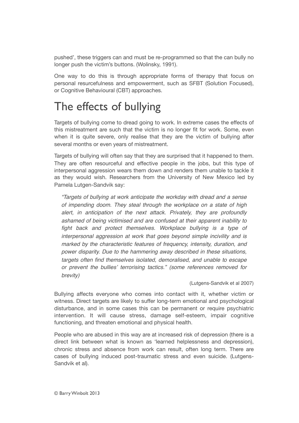pushed', these triggers can and must be re-programmed so that the can bully no longer push the victim's buttons. (Wolinsky, 1991).

One way to do this is through appropriate forms of therapy that focus on personal resurcefulness and empowerment, such as SFBT (Solution Focused), or Cognitive Behavioural (CBT) approaches.

# <span id="page-12-0"></span>The effects of bullying

Targets of bullying come to dread going to work. In extreme cases the effects of this mistreatment are such that the victim is no longer fit for work. Some, even when it is quite severe, only realise that they are the victim of bullying after several months or even years of mistreatment.

Targets of bullying will often say that they are surprised that it happened to them. They are often resourceful and effective people in the jobs, but this type of interpersonal aggression wears them down and renders them unable to tackle it as they would wish. Researchers from the University of New Mexico led by Pamela Lutgen-Sandvik say:

*"Targets of bullying at work anticipate the workday with dread and a sense of impending doom. They steal through the workplace on a state of high alert, in anticipation of the next attack. Privately, they are profoundly ashamed of being victimised and are confused at their apparent inability to fight back and protect themselves. Workplace bullying is a type of interpersonal aggression at work that goes beyond simple incivility and is marked by the characteristic features of frequency, intensity, duration, and power disparity. Due to the hammering away described in these situations, targets often find themselves isolated, demoralised, and unable to escape or prevent the bullies*' *terrorising tactics." (some references removed for brevity)*

(Lutgens-Sandvik et al 2007)

Bullying affects everyone who comes into contact with it, whether victim or witness. Direct targets are likely to suffer long-term emotional and psychological disturbance, and in some cases this can be permanent or require psychiatric intervention. It will cause stress, damage self-esteem, impair cognitive functioning, and threaten emotional and physical health.

People who are abused in this way are at increased risk of depression (there is a direct link between what is known as 'learned helplessness and depression), chronic stress and absence from work can result, often long term. There are cases of bullying induced post-traumatic stress and even suicide. (Lutgens-Sandvik et al).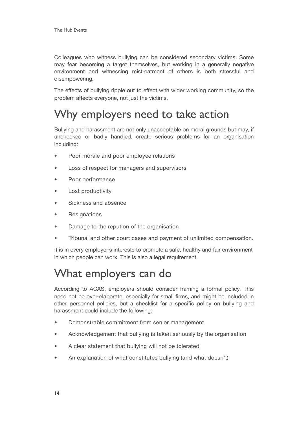Colleagues who witness bullying can be considered secondary victims. Some may fear becoming a target themselves, but working in a generally negative environment and witnessing mistreatment of others is both stressful and disempowering.

The effects of bullying ripple out to effect with wider working community, so the problem affects everyone, not just the victims.

### <span id="page-13-0"></span>Why employers need to take action

Bullying and harassment are not only unacceptable on moral grounds but may, if unchecked or badly handled, create serious problems for an organisation including:

- Poor morale and poor employee relations
- Loss of respect for managers and supervisors
- Poor performance
- Lost productivity
- Sickness and absence
- **Resignations**
- Damage to the repution of the organisation
- Tribunal and other court cases and payment of unlimited compensation.

It is in every employer's interests to promote a safe, healthy and fair environment in which people can work. This is also a legal requirement.

### <span id="page-13-1"></span>What employers can do

According to ACAS, employers should consider framing a formal policy. This need not be over-elaborate, especially for small firms, and might be included in other personnel policies, but a checklist for a specific policy on bullying and harassment could include the following:

- Demonstrable commitment from senior management
- Acknowledgement that bullying is taken seriously by the organisation
- A clear statement that bullying will not be tolerated
- An explanation of what constitutes bullying (and what doesn't)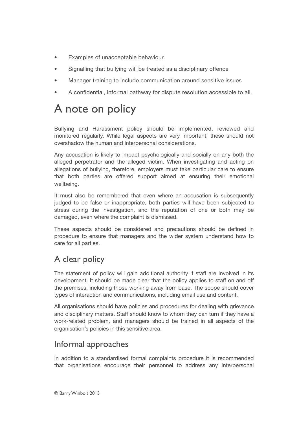- Examples of unacceptable behaviour
- Signalling that bullying will be treated as a disciplinary offence
- Manager training to include communication around sensitive issues
- A confidential, informal pathway for dispute resolution accessible to all.

### <span id="page-14-0"></span>A note on policy

Bullying and Harassment policy should be implemented, reviewed and monitored regularly. While legal aspects are very important, these should not overshadow the human and interpersonal considerations.

Any accusation is likely to impact psychologically and socially on any both the alleged perpetrator and the alleged victim. When investigating and acting on allegations of bullying, therefore, employers must take particular care to ensure that both parties are offered support aimed at ensuring their emotional wellbeing.

It must also be remembered that even where an accusation is subsequently judged to be false or inappropriate, both parties will have been subjected to stress during the investigation, and the reputation of one or both may be damaged, even where the complaint is dismissed.

These aspects should be considered and precautions should be defined in procedure to ensure that managers and the wider system understand how to care for all parties.

#### A clear policy

The statement of policy will gain additional authority if staff are involved in its development. It should be made clear that the policy applies to staff on and off the premises, including those working away from base. The scope should cover types of interaction and communications, including email use and content.

All organisations should have policies and procedures for dealing with grievance and disciplinary matters. Staff should know to whom they can turn if they have a work-related problem, and managers should be trained in all aspects of the organisation's policies in this sensitive area.

#### Informal approaches

In addition to a standardised formal complaints procedure it is recommended that organisations encourage their personnel to address any interpersonal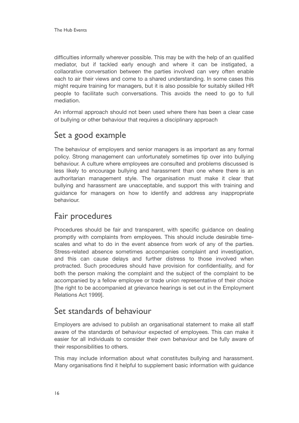difficulties informally wherever possible. This may be with the help of an qualified mediator, but if tackled early enough and where it can be instigated, a collaorative conversation between the parties involved can very often enable each to air their views and come to a shared understanding. In some cases this might require training for managers, but it is also possible for suitably skilled HR people to facilitate such conversations. This avoids the need to go to full mediation.

An informal approach should not been used where there has been a clear case of bullying or other behaviour that requires a disciplinary approach

#### Set a good example

The behaviour of employers and senior managers is as important as any formal policy. Strong management can unfortunately sometimes tip over into bullying behaviour. A culture where employees are consulted and problems discussed is less likely to encourage bullying and harassment than one where there is an authoritarian management style. The organisation must make it clear that bullying and harassment are unacceptable, and support this with training and guidance for managers on how to identify and address any inappropriate behaviour.

#### Fair procedures

Procedures should be fair and transparent, with specific guidance on dealing promptly with complaints from employees. This should include desirable timescales and what to do in the event absence from work of any of the parties. Stress-related absence sometimes accompanies complaint and investigation, and this can cause delays and further distress to those involved when protracted. Such procedures should have provision for confidentiality, and for both the person making the complaint and the subject of the complaint to be accompanied by a fellow employee or trade union representative of their choice [the right to be accompanied at grievance hearings is set out in the Employment Relations Act 1999].

#### Set standards of behaviour

Employers are advised to publish an organisational statement to make all staff aware of the standards of behaviour expected of employees. This can make it easier for all individuals to consider their own behaviour and be fully aware of their responsibilities to others.

This may include information about what constitutes bullying and harassment. Many organisations find it helpful to supplement basic information with guidance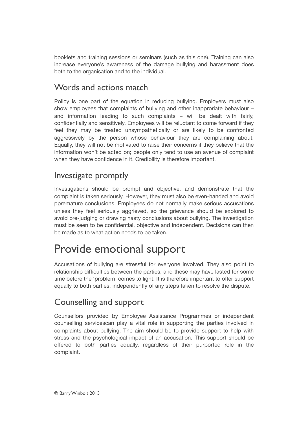booklets and training sessions or seminars (such as this one). Training can also increase everyone's awareness of the damage bullying and harassment does both to the organisation and to the individual.

#### Words and actions match

Policy is one part of the equation in reducing bullying. Employers must also show employees that complaints of bullying and other inapproriate behaviour – and information leading to such complaints – will be dealt with fairly, confidentially and sensitively. Employees will be reluctant to come forward if they feel they may be treated unsympathetically or are likely to be confronted aggressively by the person whose behaviour they are complaining about. Equally, they will not be motivated to raise their concerns if they believe that the information won't be acted on; people only tend to use an avenue of complaint when they have confidence in it. Credibility is therefore important.

#### Investigate promptly

Investigations should be prompt and objective, and demonstrate that the complaint is taken seriously. However, they must also be even-handed and avoid ppremature conclusions. Employees do not normally make serious accusations unless they feel seriously aggrieved, so the grievance should be explored to avoid pre-judging or drawing hasty conclusions about bullying. The investigation must be seen to be confidential, objective and independent. Decisions can then be made as to what action needs to be taken.

### <span id="page-16-0"></span>Provide emotional support

Accusations of bullying are stressful for everyone involved. They also point to relationship difficulties between the parties, and these may have lasted for some time before the 'problem' comes to light. It is therefore important to offer support equally to both parties, independently of any steps taken to resolve the dispute.

#### Counselling and support

Counsellors provided by Employee Assistance Programmes or independent counselling servicescan play a vital role in supporting the parties involved in complaints about bullying. The aim should be to provide support to help with stress and the psychological impact of an accusation. This support should be offered to both parties equally, regardless of their purported role in the complaint.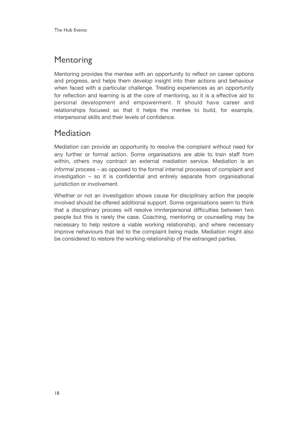#### **Mentoring**

Mentoring provides the mentee with an opportunity to reflect on career options and progress, and helps them develop insight into their actions and behaviour when faced with a particular challenge. Treating experiences as an opportunity for reflection and learning is at the core of mentoring, so it is a effective aid to personal development and empowerment. It should have career and relationships focused so that it helps the mentee to build, for example, interpersonal skills and their levels of confidence.

#### Mediation

Mediation can provide an opportunity to resolve the complaint without need for any further or formal action. Some organisations are able to train staff from within, others may contract an external mediation service. Mediation is an *informal* process – as opposed to the formal internal processes of complaint and investigation – so it is confidential and entirely separate from organisational juristiction or involvement.

Whether or not an investigation shows cause for disciplinary action the people involved should be offered additional support. Some organisations seem to think that a disciplinary process will resolve imnterpersonal difficulties between two people but this is rarely the case. Coaching, mentoring or counselling may be necessary to help restore a viable working relationship, and where necessary improve nehaviours that led to the complaint being made. Mediation might also be considered to restore the working relationship of the estranged parties.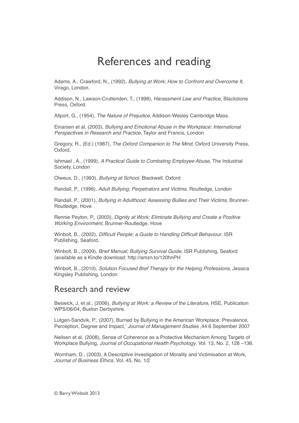### <span id="page-18-0"></span>References and reading

Adams, A., Crawford, N., (1992), *Bullying at Work; How to Confront and Overcome It*, Virago, London.

Addison, N., Lawson-Cruttenden, T., (1998), *Harassment Law and Practice,* Blackstone Press, Oxford.

Allport, G., (1954), *The Nature of Prejudice*, Addison-Wesley Cambridge Mass.

Einarsen et al, (2003), *Bullying and Emotional Abuse in the Workplace: International Perspectives in Research and Practice*, Taylor and Francis, London

Gregory, R., (Ed.) (1987), *The Oxford Companion to The Mind,* Oxford University Press, Oxford.

Ishmael , A., (1999), *A Practical Guide to Combating Employee Abuse*, The Industrial Society, London

Olweus, D., (1993), *Bullying at School,* Blackwell, Oxford

Randall, P., (1996), *Adult Bullying; Perpetrators and Victims,* Routledge, London

Randall, P., (2001), *Bullying in Adulthood; Assessing Bullies and Their Victims,* Brunner-Routledge, Hove

Rennie Peyton, P., (2003), *Dignity at Work; Eliminate Bullying and Create a Positive Working Environment,* Brunner-Routledge, Hove

Winbolt, B., (2002), *Difficult People; a Guide to Handling Difficult Behaviour*, ISR Publishing, Seaford.

Winbolt, B., (2009), *Brief Manual; Bullying Survival Guide,* ISR Publishing, Seaford (available as a Kindle download: http://amzn.to/120hnPH

Winbolt, B., (2010), *Solution Focused Bref Therapy for the Helping Professions,* Jessica Kingsley Publishing, London

#### Research and review

Beswick, J, et al., (2006), *Bullying at Work: a Review of the Literature,* HSE, Publication WPS/06/04, Buxton Derbyshire.

Lutgen-Sandvik, P., (2007), Burned by Bullying in the American Workplace: Prevalence, Perception, Degree and Impact,' *Journal of Management Studies* ,44:6 September 2007

Neilsen et al. (2008), Sense of Coherence as a Protective Mechanism Among Targets of Workplace Bullying, *Journal of Occupational Health Psychology*, Vol. 13, No. 2, 128 –136.

Wornham, D., (2003), A Descriptive Investigation of Morality and Victimisation at Work, *Journal of Business Ethics*, Vol. 45, No. 1⁄2